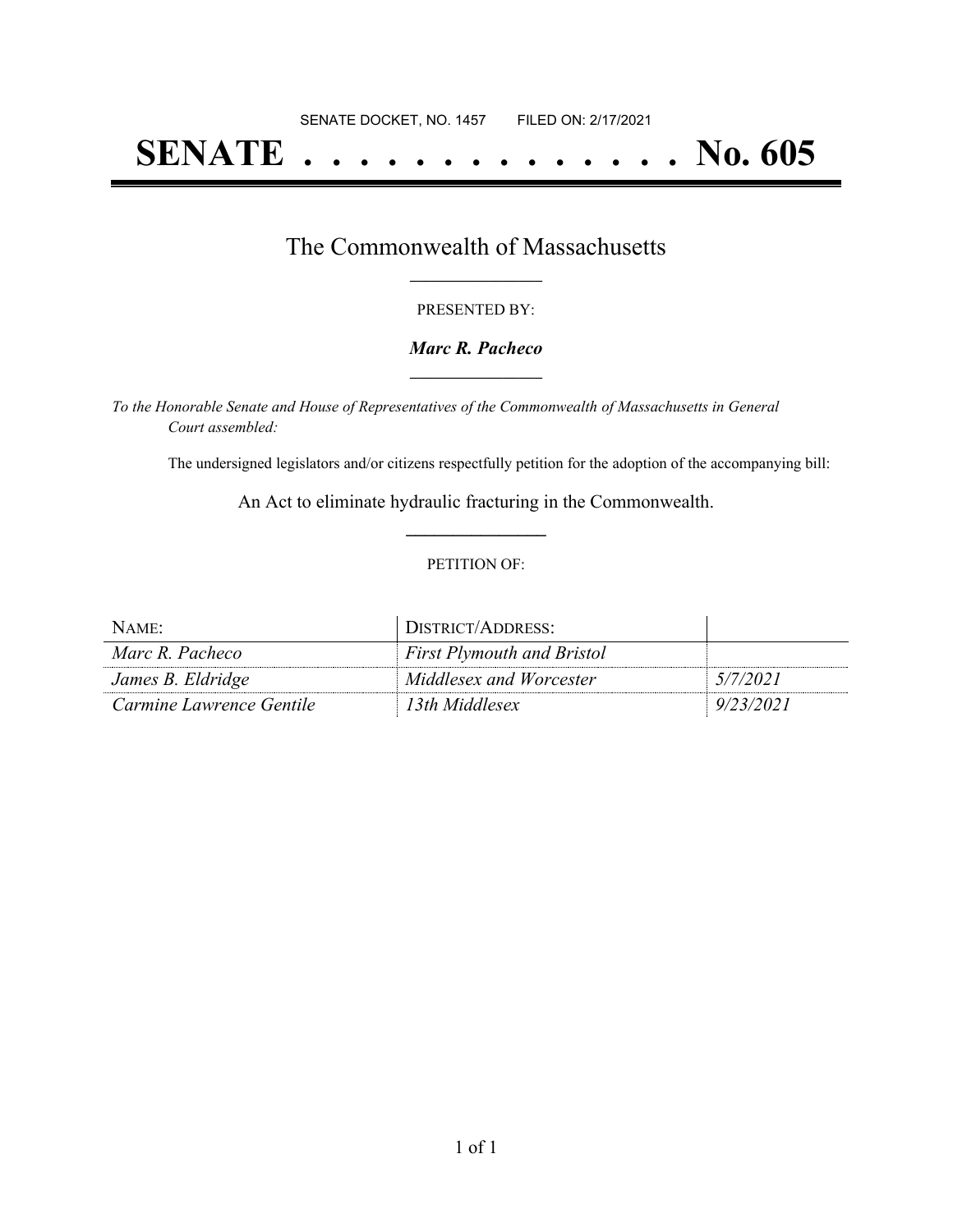# **SENATE . . . . . . . . . . . . . . No. 605**

### The Commonwealth of Massachusetts **\_\_\_\_\_\_\_\_\_\_\_\_\_\_\_\_\_**

#### PRESENTED BY:

#### *Marc R. Pacheco* **\_\_\_\_\_\_\_\_\_\_\_\_\_\_\_\_\_**

*To the Honorable Senate and House of Representatives of the Commonwealth of Massachusetts in General Court assembled:*

The undersigned legislators and/or citizens respectfully petition for the adoption of the accompanying bill:

An Act to eliminate hydraulic fracturing in the Commonwealth. **\_\_\_\_\_\_\_\_\_\_\_\_\_\_\_**

#### PETITION OF:

| NAME:                    | DISTRICT/ADDRESS:                 |           |
|--------------------------|-----------------------------------|-----------|
| Marc R. Pacheco          | <b>First Plymouth and Bristol</b> |           |
| James B. Eldridge        | Middlesex and Worcester           | 5/7/2021  |
| Carmine Lawrence Gentile | 13th Middlesex                    | 9/23/2021 |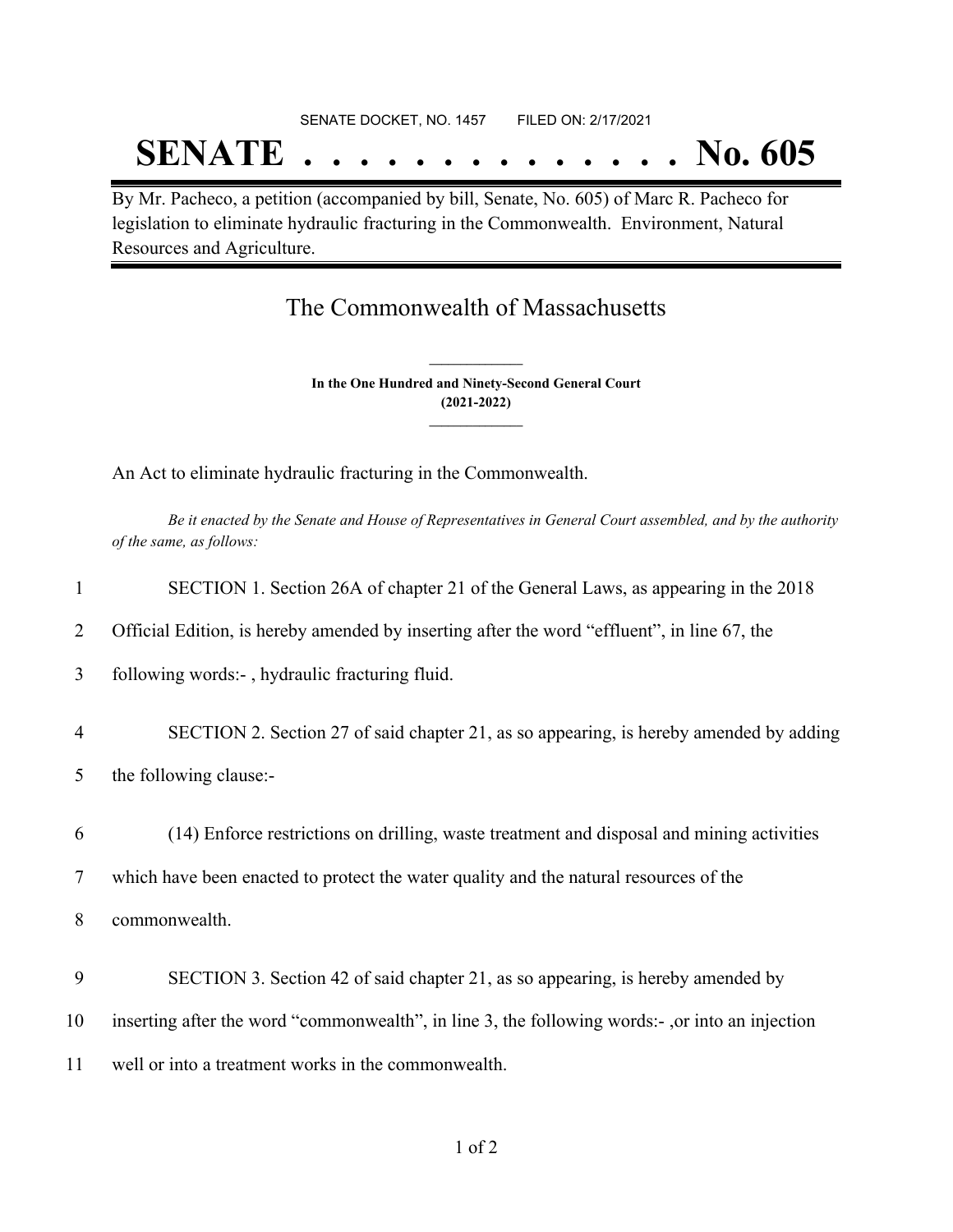# SENATE DOCKET, NO. 1457 FILED ON: 2/17/2021 **SENATE . . . . . . . . . . . . . . No. 605**

By Mr. Pacheco, a petition (accompanied by bill, Senate, No. 605) of Marc R. Pacheco for legislation to eliminate hydraulic fracturing in the Commonwealth. Environment, Natural Resources and Agriculture.

## The Commonwealth of Massachusetts

**In the One Hundred and Ninety-Second General Court (2021-2022) \_\_\_\_\_\_\_\_\_\_\_\_\_\_\_**

**\_\_\_\_\_\_\_\_\_\_\_\_\_\_\_**

An Act to eliminate hydraulic fracturing in the Commonwealth.

Be it enacted by the Senate and House of Representatives in General Court assembled, and by the authority *of the same, as follows:*

| $\mathbf{1}$   | SECTION 1. Section 26A of chapter 21 of the General Laws, as appearing in the 2018              |
|----------------|-------------------------------------------------------------------------------------------------|
| 2              | Official Edition, is hereby amended by inserting after the word "effluent", in line 67, the     |
| 3              | following words:-, hydraulic fracturing fluid.                                                  |
| $\overline{4}$ | SECTION 2. Section 27 of said chapter 21, as so appearing, is hereby amended by adding          |
| 5              | the following clause:-                                                                          |
| 6              | (14) Enforce restrictions on drilling, waste treatment and disposal and mining activities       |
| $\tau$         | which have been enacted to protect the water quality and the natural resources of the           |
| 8              | commonwealth.                                                                                   |
| 9              | SECTION 3. Section 42 of said chapter 21, as so appearing, is hereby amended by                 |
| 10             | inserting after the word "commonwealth", in line 3, the following words:-, or into an injection |
| 11             | well or into a treatment works in the commonwealth.                                             |